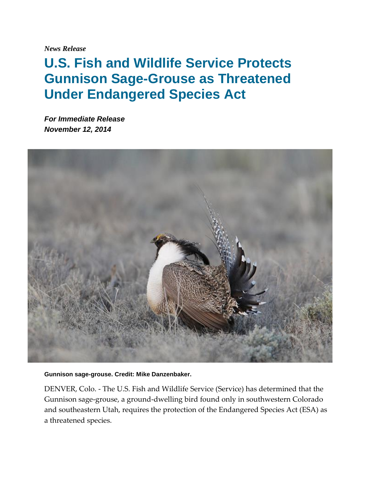*News Release*

## **U.S. Fish and Wildlife Service Protects Gunnison Sage-Grouse as Threatened Under Endangered Species Act**

*For Immediate Release November 12, 2014*



## **Gunnison sage-grouse. Credit: Mike Danzenbaker.**

DENVER, Colo. - The U.S. Fish and Wildlife Service (Service) has determined that the Gunnison sage-grouse, a ground-dwelling bird found only in southwestern Colorado and southeastern Utah, requires the protection of the Endangered Species Act (ESA) as a threatened species.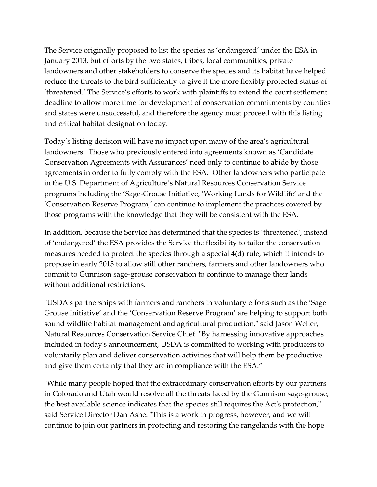The Service originally proposed to list the species as 'endangered' under the ESA in January 2013, but efforts by the two states, tribes, local communities, private landowners and other stakeholders to conserve the species and its habitat have helped reduce the threats to the bird sufficiently to give it the more flexibly protected status of 'threatened.' The Service's efforts to work with plaintiffs to extend the court settlement deadline to allow more time for development of conservation commitments by counties and states were unsuccessful, and therefore the agency must proceed with this listing and critical habitat designation today.

Today's listing decision will have no impact upon many of the area's agricultural landowners. Those who previously entered into agreements known as 'Candidate Conservation Agreements with Assurances' need only to continue to abide by those agreements in order to fully comply with the ESA. Other landowners who participate in the U.S. Department of Agriculture's Natural Resources Conservation Service programs including the 'Sage-Grouse Initiative, 'Working Lands for Wildlife' and the 'Conservation Reserve Program,' can continue to implement the practices covered by those programs with the knowledge that they will be consistent with the ESA.

In addition, because the Service has determined that the species is 'threatened', instead of 'endangered' the ESA provides the Service the flexibility to tailor the conservation measures needed to protect the species through a special 4(d) rule, which it intends to propose in early 2015 to allow still other ranchers, farmers and other landowners who commit to Gunnison sage-grouse conservation to continue to manage their lands without additional restrictions.

"USDA's partnerships with farmers and ranchers in voluntary efforts such as the 'Sage Grouse Initiative' and the 'Conservation Reserve Program' are helping to support both sound wildlife habitat management and agricultural production," said Jason Weller, Natural Resources Conservation Service Chief. "By harnessing innovative approaches included in today's announcement, USDA is committed to working with producers to voluntarily plan and deliver conservation activities that will help them be productive and give them certainty that they are in compliance with the ESA."

"While many people hoped that the extraordinary conservation efforts by our partners in Colorado and Utah would resolve all the threats faced by the Gunnison sage-grouse, the best available science indicates that the species still requires the Act's protection," said Service Director Dan Ashe. "This is a work in progress, however, and we will continue to join our partners in protecting and restoring the rangelands with the hope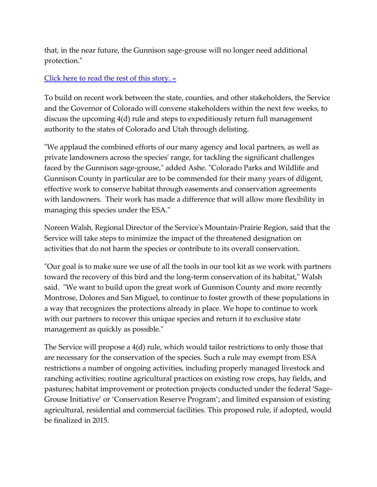that, in the near future, the Gunnison sage-grouse will no longer need additional protection."

## [Click here to read the rest of this story. »](http://www.fws.gov/mountain-prairie/pressrel/2014/11122014_ServiceProtectsGunnisonSageGrouseAsThreatenedUnderESA.php)

To build on recent work between the state, counties, and other stakeholders, the Service and the Governor of Colorado will convene stakeholders within the next few weeks, to discuss the upcoming 4(d) rule and steps to expeditiously return full management authority to the states of Colorado and Utah through delisting.

"We applaud the combined efforts of our many agency and local partners, as well as private landowners across the species' range, for tackling the significant challenges faced by the Gunnison sage-grouse," added Ashe. "Colorado Parks and Wildlife and Gunnison County in particular are to be commended for their many years of diligent, effective work to conserve habitat through easements and conservation agreements with landowners. Their work has made a difference that will allow more flexibility in managing this species under the ESA."

Noreen Walsh, Regional Director of the Service's Mountain-Prairie Region, said that the Service will take steps to minimize the impact of the threatened designation on activities that do not harm the species or contribute to its overall conservation.

"Our goal is to make sure we use of all the tools in our tool kit as we work with partners toward the recovery of this bird and the long-term conservation of its habitat," Walsh said. "We want to build upon the great work of Gunnison County and more recently Montrose, Dolores and San Miguel, to continue to foster growth of these populations in a way that recognizes the protections already in place. We hope to continue to work with our partners to recover this unique species and return it to exclusive state management as quickly as possible."

The Service will propose a 4(d) rule, which would tailor restrictions to only those that are necessary for the conservation of the species. Such a rule may exempt from ESA restrictions a number of ongoing activities, including properly managed livestock and ranching activities; routine agricultural practices on existing row crops, hay fields, and pastures; habitat improvement or protection projects conducted under the federal 'Sage-Grouse Initiative' or 'Conservation Reserve Program'; and limited expansion of existing agricultural, residential and commercial facilities. This proposed rule, if adopted, would be finalized in 2015.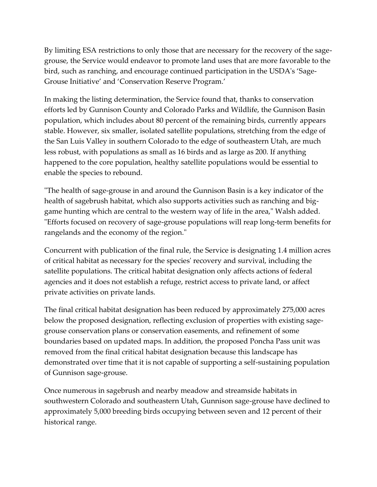By limiting ESA restrictions to only those that are necessary for the recovery of the sagegrouse, the Service would endeavor to promote land uses that are more favorable to the bird, such as ranching, and encourage continued participation in the USDA's 'Sage-Grouse Initiative' and 'Conservation Reserve Program.'

In making the listing determination, the Service found that, thanks to conservation efforts led by Gunnison County and Colorado Parks and Wildlife, the Gunnison Basin population, which includes about 80 percent of the remaining birds, currently appears stable. However, six smaller, isolated satellite populations, stretching from the edge of the San Luis Valley in southern Colorado to the edge of southeastern Utah, are much less robust, with populations as small as 16 birds and as large as 200. If anything happened to the core population, healthy satellite populations would be essential to enable the species to rebound.

"The health of sage-grouse in and around the Gunnison Basin is a key indicator of the health of sagebrush habitat, which also supports activities such as ranching and biggame hunting which are central to the western way of life in the area," Walsh added. "Efforts focused on recovery of sage-grouse populations will reap long-term benefits for rangelands and the economy of the region."

Concurrent with publication of the final rule, the Service is designating 1.4 million acres of critical habitat as necessary for the species' recovery and survival, including the satellite populations. The critical habitat designation only affects actions of federal agencies and it does not establish a refuge, restrict access to private land, or affect private activities on private lands.

The final critical habitat designation has been reduced by approximately 275,000 acres below the proposed designation, reflecting exclusion of properties with existing sagegrouse conservation plans or conservation easements, and refinement of some boundaries based on updated maps. In addition, the proposed Poncha Pass unit was removed from the final critical habitat designation because this landscape has demonstrated over time that it is not capable of supporting a self-sustaining population of Gunnison sage-grouse.

Once numerous in sagebrush and nearby meadow and streamside habitats in southwestern Colorado and southeastern Utah, Gunnison sage-grouse have declined to approximately 5,000 breeding birds occupying between seven and 12 percent of their historical range.